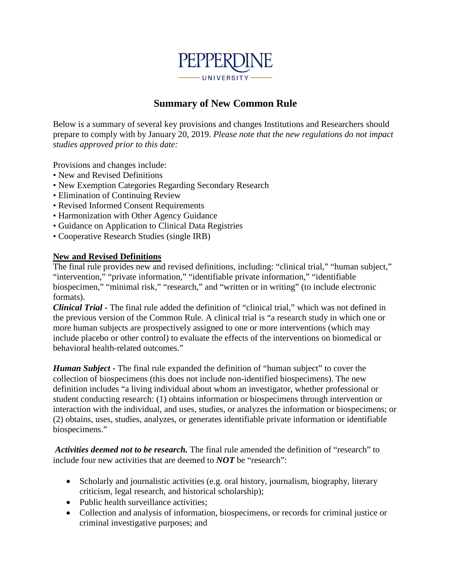

# **Summary of New Common Rule**

Below is a summary of several key provisions and changes Institutions and Researchers should prepare to comply with by January 20, 2019. *Please note that the new regulations do not impact studies approved prior to this date:*

Provisions and changes include:

- New and Revised Definitions
- New Exemption Categories Regarding Secondary Research
- Elimination of Continuing Review
- Revised Informed Consent Requirements
- Harmonization with Other Agency Guidance
- Guidance on Application to Clinical Data Registries
- Cooperative Research Studies (single IRB)

#### **New and Revised Definitions**

The final rule provides new and revised definitions, including: "clinical trial," "human subject," "intervention," "private information," "identifiable private information," "identifiable biospecimen," "minimal risk," "research," and "written or in writing" (to include electronic formats).

*Clinical Trial* **-** The final rule added the definition of "clinical trial," which was not defined in the previous version of the Common Rule. A clinical trial is "a research study in which one or more human subjects are prospectively assigned to one or more interventions (which may include placebo or other control) to evaluate the effects of the interventions on biomedical or behavioral health-related outcomes."

*Human Subject* **-** The final rule expanded the definition of "human subject" to cover the collection of biospecimens (this does not include non-identified biospecimens). The new definition includes "a living individual about whom an investigator, whether professional or student conducting research: (1) obtains information or biospecimens through intervention or interaction with the individual, and uses, studies, or analyzes the information or biospecimens; or (2) obtains, uses, studies, analyzes, or generates identifiable private information or identifiable biospecimens."

*Activities deemed not to be research.* The final rule amended the definition of "research" to include four new activities that are deemed to *NOT* be "research":

- Scholarly and journalistic activities (e.g. oral history, journalism, biography, literary criticism, legal research, and historical scholarship);
- Public health surveillance activities:
- Collection and analysis of information, biospecimens, or records for criminal justice or criminal investigative purposes; and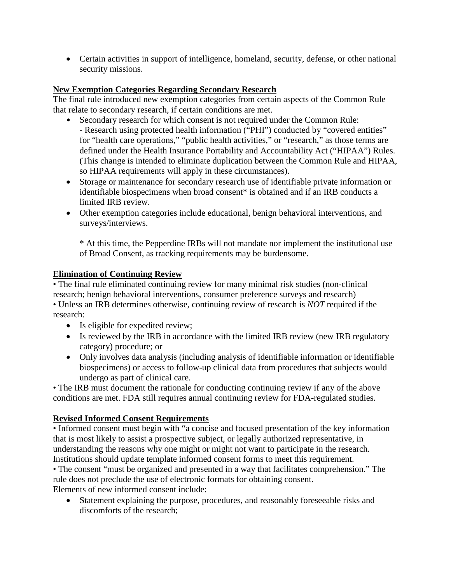• Certain activities in support of intelligence, homeland, security, defense, or other national security missions.

### **New Exemption Categories Regarding Secondary Research**

The final rule introduced new exemption categories from certain aspects of the Common Rule that relate to secondary research, if certain conditions are met.

- Secondary research for which consent is not required under the Common Rule: - Research using protected health information ("PHI") conducted by "covered entities" for "health care operations," "public health activities," or "research," as those terms are defined under the Health Insurance Portability and Accountability Act ("HIPAA") Rules. (This change is intended to eliminate duplication between the Common Rule and HIPAA, so HIPAA requirements will apply in these circumstances).
- Storage or maintenance for secondary research use of identifiable private information or identifiable biospecimens when broad consent\* is obtained and if an IRB conducts a limited IRB review.
- Other exemption categories include educational, benign behavioral interventions, and surveys/interviews.

\* At this time, the Pepperdine IRBs will not mandate nor implement the institutional use of Broad Consent, as tracking requirements may be burdensome.

### **Elimination of Continuing Review**

• The final rule eliminated continuing review for many minimal risk studies (non-clinical research; benign behavioral interventions, consumer preference surveys and research) • Unless an IRB determines otherwise, continuing review of research is *NOT* required if the research:

- Is eligible for expedited review;
- Is reviewed by the IRB in accordance with the limited IRB review (new IRB regulatory category) procedure; or
- Only involves data analysis (including analysis of identifiable information or identifiable biospecimens) or access to follow-up clinical data from procedures that subjects would undergo as part of clinical care.

• The IRB must document the rationale for conducting continuing review if any of the above conditions are met. FDA still requires annual continuing review for FDA-regulated studies.

## **Revised Informed Consent Requirements**

• Informed consent must begin with "a concise and focused presentation of the key information that is most likely to assist a prospective subject, or legally authorized representative, in understanding the reasons why one might or might not want to participate in the research. Institutions should update template informed consent forms to meet this requirement.

• The consent "must be organized and presented in a way that facilitates comprehension." The rule does not preclude the use of electronic formats for obtaining consent. Elements of new informed consent include:

• Statement explaining the purpose, procedures, and reasonably foreseeable risks and discomforts of the research;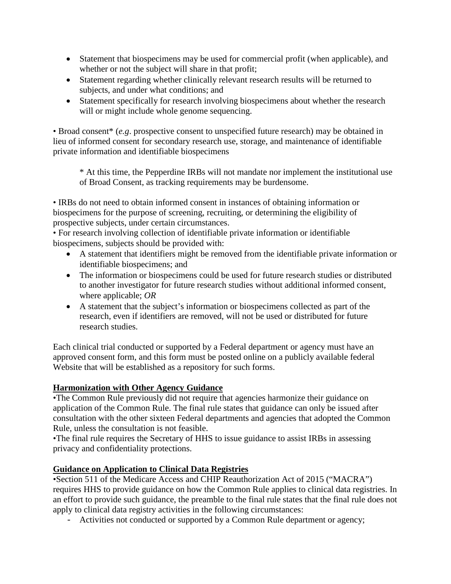- Statement that biospecimens may be used for commercial profit (when applicable), and whether or not the subject will share in that profit;
- Statement regarding whether clinically relevant research results will be returned to subjects, and under what conditions; and
- Statement specifically for research involving biospecimens about whether the research will or might include whole genome sequencing.

• Broad consent\* (*e.g*. prospective consent to unspecified future research) may be obtained in lieu of informed consent for secondary research use, storage, and maintenance of identifiable private information and identifiable biospecimens

\* At this time, the Pepperdine IRBs will not mandate nor implement the institutional use of Broad Consent, as tracking requirements may be burdensome.

• IRBs do not need to obtain informed consent in instances of obtaining information or biospecimens for the purpose of screening, recruiting, or determining the eligibility of prospective subjects, under certain circumstances.

• For research involving collection of identifiable private information or identifiable biospecimens, subjects should be provided with:

- A statement that identifiers might be removed from the identifiable private information or identifiable biospecimens; and
- The information or biospecimens could be used for future research studies or distributed to another investigator for future research studies without additional informed consent, where applicable; *OR*
- A statement that the subject's information or biospecimens collected as part of the research, even if identifiers are removed, will not be used or distributed for future research studies.

Each clinical trial conducted or supported by a Federal department or agency must have an approved consent form, and this form must be posted online on a publicly available federal Website that will be established as a repository for such forms.

## **Harmonization with Other Agency Guidance**

•The Common Rule previously did not require that agencies harmonize their guidance on application of the Common Rule. The final rule states that guidance can only be issued after consultation with the other sixteen Federal departments and agencies that adopted the Common Rule, unless the consultation is not feasible.

•The final rule requires the Secretary of HHS to issue guidance to assist IRBs in assessing privacy and confidentiality protections.

### **Guidance on Application to Clinical Data Registries**

•Section 511 of the Medicare Access and CHIP Reauthorization Act of 2015 ("MACRA") requires HHS to provide guidance on how the Common Rule applies to clinical data registries. In an effort to provide such guidance, the preamble to the final rule states that the final rule does not apply to clinical data registry activities in the following circumstances:

- Activities not conducted or supported by a Common Rule department or agency;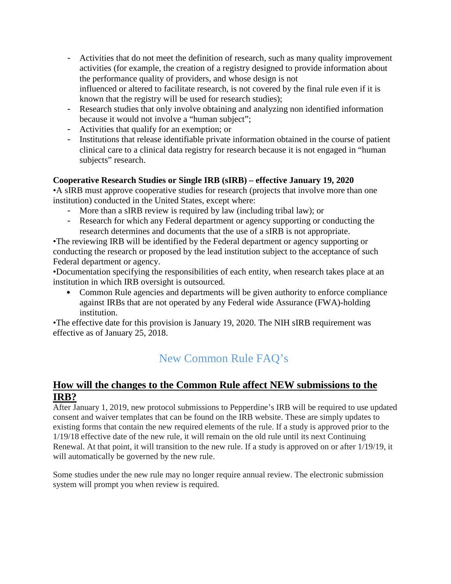- Activities that do not meet the definition of research, such as many quality improvement activities (for example, the creation of a registry designed to provide information about the performance quality of providers, and whose design is not influenced or altered to facilitate research, is not covered by the final rule even if it is known that the registry will be used for research studies);
- Research studies that only involve obtaining and analyzing non identified information because it would not involve a "human subject";
- Activities that qualify for an exemption; or
- Institutions that release identifiable private information obtained in the course of patient clinical care to a clinical data registry for research because it is not engaged in "human subjects" research.

## **Cooperative Research Studies or Single IRB (sIRB) – effective January 19, 2020**

•A sIRB must approve cooperative studies for research (projects that involve more than one institution) conducted in the United States, except where:

- More than a sIRB review is required by law (including tribal law); or
- Research for which any Federal department or agency supporting or conducting the research determines and documents that the use of a sIRB is not appropriate.

•The reviewing IRB will be identified by the Federal department or agency supporting or conducting the research or proposed by the lead institution subject to the acceptance of such Federal department or agency.

•Documentation specifying the responsibilities of each entity, when research takes place at an institution in which IRB oversight is outsourced.

• Common Rule agencies and departments will be given authority to enforce compliance against IRBs that are not operated by any Federal wide Assurance (FWA)-holding institution.

•The effective date for this provision is January 19, 2020. The NIH sIRB requirement was effective as of January 25, 2018.

# New Common Rule FAQ's

# **How will the changes to the Common Rule affect NEW submissions to the IRB?**

After January 1, 2019, new protocol submissions to Pepperdine's IRB will be required to use updated consent and waiver templates that can be found on the IRB website. These are simply updates to existing forms that contain the new required elements of the rule. If a study is approved prior to the 1/19/18 effective date of the new rule, it will remain on the old rule until its next Continuing Renewal. At that point, it will transition to the new rule. If a study is approved on or after 1/19/19, it will automatically be governed by the new rule.

Some studies under the new rule may no longer require annual review. The electronic submission system will prompt you when review is required.